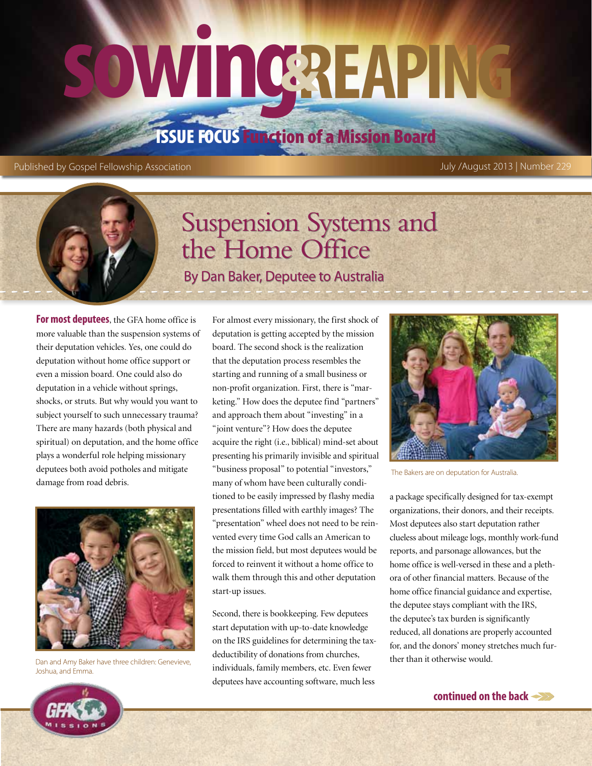# **sowing&reaping**

## Issue Focus Function of a Mission Board

Published by Gospel Fellowship Association July /August 2013 | Number 229

## Suspension Systems and the Home Office

By Dan Baker, Deputee to Australia

**For most deputees**, the GFA home office is more valuable than the suspension systems of their deputation vehicles. Yes, one could do deputation without home office support or even a mission board. One could also do deputation in a vehicle without springs, shocks, or struts. But why would you want to subject yourself to such unnecessary trauma? There are many hazards (both physical and spiritual) on deputation, and the home office plays a wonderful role helping missionary deputees both avoid potholes and mitigate damage from road debris.



Joshua, and Emma.

For almost every missionary, the first shock of deputation is getting accepted by the mission board. The second shock is the realization that the deputation process resembles the starting and running of a small business or non-profit organization. First, there is "marketing." How does the deputee find "partners" and approach them about "investing" in a "joint venture"? How does the deputee acquire the right (i.e., biblical) mind-set about presenting his primarily invisible and spiritual "business proposal" to potential "investors," many of whom have been culturally conditioned to be easily impressed by flashy media presentations filled with earthly images? The "presentation" wheel does not need to be reinvented every time God calls an American to the mission field, but most deputees would be forced to reinvent it without a home office to walk them through this and other deputation start-up issues.

Second, there is bookkeeping. Few deputees start deputation with up-to-date knowledge on the IRS guidelines for determining the taxdeductibility of donations from churches, individuals, family members, etc. Even fewer deputees have accounting software, much less Geductibility of donations from churcnes,<br>Dan and Amy Baker have three children: Genevieve, ther than it otherwise would.



The Bakers are on deputation for Australia.

a package specifically designed for tax-exempt organizations, their donors, and their receipts. Most deputees also start deputation rather clueless about mileage logs, monthly work-fund reports, and parsonage allowances, but the home office is well-versed in these and a plethora of other financial matters. Because of the home office financial guidance and expertise, the deputee stays compliant with the IRS, the deputee's tax burden is significantly reduced, all donations are properly accounted for, and the donors' money stretches much fur-



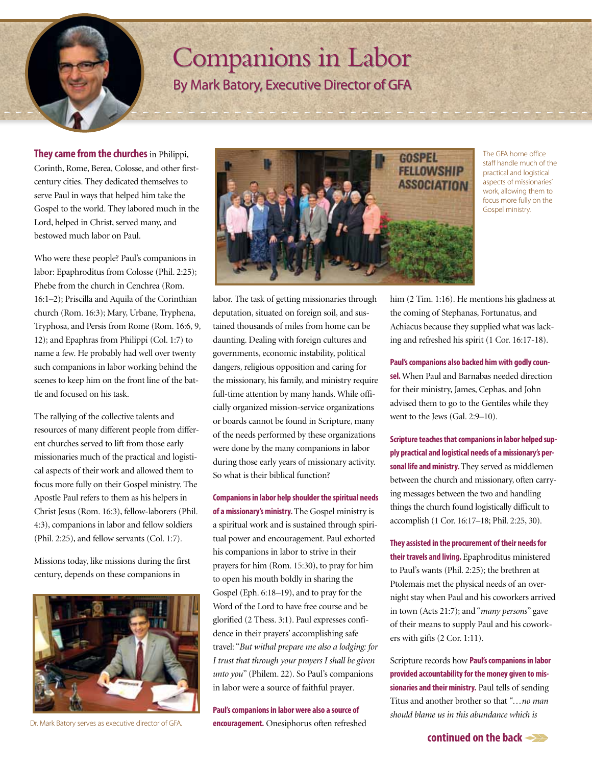## Companions in Labor

By Mark Batory, Executive Director of GFA

**They came from the churches** in Philippi, Corinth, Rome, Berea, Colosse, and other firstcentury cities. They dedicated themselves to serve Paul in ways that helped him take the Gospel to the world. They labored much in the Lord, helped in Christ, served many, and bestowed much labor on Paul.

Who were these people? Paul's companions in labor: Epaphroditus from Colosse (Phil. 2:25); Phebe from the church in Cenchrea (Rom. 16:1–2); Priscilla and Aquila of the Corinthian church (Rom. 16:3); Mary, Urbane, Tryphena, Tryphosa, and Persis from Rome (Rom. 16:6, 9, 12); and Epaphras from Philippi (Col. 1:7) to name a few. He probably had well over twenty such companions in labor working behind the scenes to keep him on the front line of the battle and focused on his task.

The rallying of the collective talents and resources of many different people from different churches served to lift from those early missionaries much of the practical and logistical aspects of their work and allowed them to focus more fully on their Gospel ministry. The Apostle Paul refers to them as his helpers in Christ Jesus (Rom. 16:3), fellow-laborers (Phil. 4:3), companions in labor and fellow soldiers (Phil. 2:25), and fellow servants (Col. 1:7).

Missions today, like missions during the first century, depends on these companions in



Dr. Mark Batory serves as executive director of GFA.



The GFA home office staff handle much of the practical and logistical aspects of missionaries' work, allowing them to focus more fully on the Gospel ministry.

labor. The task of getting missionaries through deputation, situated on foreign soil, and sustained thousands of miles from home can be daunting. Dealing with foreign cultures and governments, economic instability, political dangers, religious opposition and caring for the missionary, his family, and ministry require full-time attention by many hands. While officially organized mission-service organizations or boards cannot be found in Scripture, many of the needs performed by these organizations were done by the many companions in labor during those early years of missionary activity. So what is their biblical function?

**Companions in labor help shoulder the spiritual needs of a missionary's ministry.** The Gospel ministry is a spiritual work and is sustained through spiritual power and encouragement. Paul exhorted his companions in labor to strive in their prayers for him (Rom. 15:30), to pray for him to open his mouth boldly in sharing the Gospel (Eph. 6:18–19), and to pray for the Word of the Lord to have free course and be glorified (2 Thess. 3:1). Paul expresses confidence in their prayers' accomplishing safe travel: "*But withal prepare me also a lodging: for I trust that through your prayers I shall be given unto you*" (Philem. 22). So Paul's companions in labor were a source of faithful prayer.

**Paul's companions in labor were also a source of encouragement.** Onesiphorus often refreshed him (2 Tim. 1:16). He mentions his gladness at the coming of Stephanas, Fortunatus, and Achiacus because they supplied what was lacking and refreshed his spirit (1 Cor. 16:17-18).

**Paul's companions also backed him with godly coun-**

**sel.** When Paul and Barnabas needed direction for their ministry, James, Cephas, and John advised them to go to the Gentiles while they went to the Jews (Gal. 2:9–10).

**Scripture teaches that companions in labor helped supply practical and logistical needs of a missionary's personal life and ministry.** They served as middlemen between the church and missionary, often carrying messages between the two and handling things the church found logistically difficult to accomplish (1 Cor. 16:17–18; Phil. 2:25, 30).

**They assisted in the procurement of their needs for their travels and living.** Epaphroditus ministered to Paul's wants (Phil. 2:25); the brethren at Ptolemais met the physical needs of an overnight stay when Paul and his coworkers arrived in town (Acts 21:7); and "*many persons*" gave of their means to supply Paul and his coworkers with gifts (2 Cor. 1:11).

Scripture records how **Paul's companions in labor provided accountability for the money given to missionaries and their ministry.** Paul tells of sending Titus and another brother so that *"…no man should blame us in this abundance which is* 

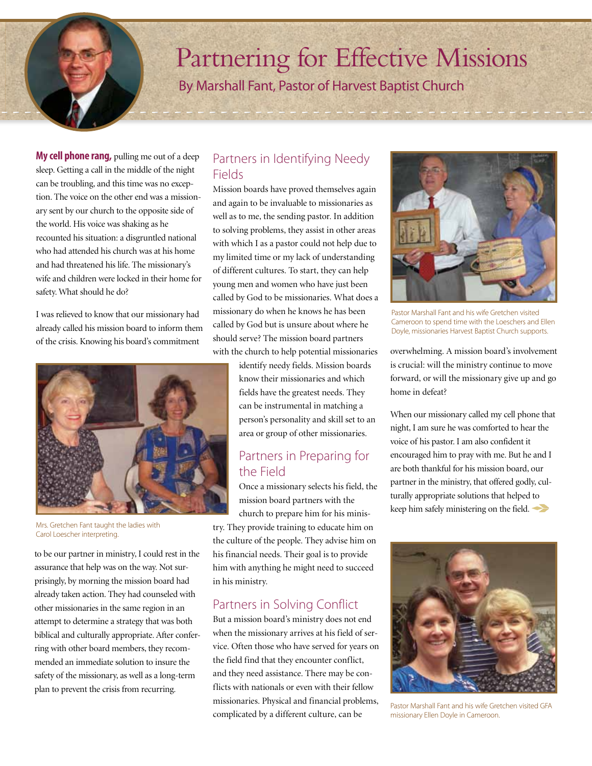## Partnering for Effective Missions

By Marshall Fant, Pastor of Harvest Baptist Church

**My cell phone rang,** pulling me out of a deep sleep. Getting a call in the middle of the night can be troubling, and this time was no exception. The voice on the other end was a missionary sent by our church to the opposite side of the world. His voice was shaking as he recounted his situation: a disgruntled national who had attended his church was at his home and had threatened his life. The missionary's wife and children were locked in their home for safety. What should he do?

I was relieved to know that our missionary had already called his mission board to inform them of the crisis. Knowing his board's commitment



Mrs. Gretchen Fant taught the ladies with Carol Loescher interpreting.

to be our partner in ministry, I could rest in the assurance that help was on the way. Not surprisingly, by morning the mission board had already taken action. They had counseled with other missionaries in the same region in an attempt to determine a strategy that was both biblical and culturally appropriate. After conferring with other board members, they recommended an immediate solution to insure the safety of the missionary, as well as a long-term plan to prevent the crisis from recurring.

#### Partners in Identifying Needy Fields

Mission boards have proved themselves again and again to be invaluable to missionaries as well as to me, the sending pastor. In addition to solving problems, they assist in other areas with which I as a pastor could not help due to my limited time or my lack of understanding of different cultures. To start, they can help young men and women who have just been called by God to be missionaries. What does a missionary do when he knows he has been called by God but is unsure about where he should serve? The mission board partners with the church to help potential missionaries

> identify needy fields. Mission boards know their missionaries and which fields have the greatest needs. They can be instrumental in matching a person's personality and skill set to an area or group of other missionaries.

#### Partners in Preparing for the Field

Once a missionary selects his field, the mission board partners with the church to prepare him for his minis-

try. They provide training to educate him on the culture of the people. They advise him on his financial needs. Their goal is to provide him with anything he might need to succeed in his ministry.

### Partners in Solving Conflict

But a mission board's ministry does not end when the missionary arrives at his field of service. Often those who have served for years on the field find that they encounter conflict, and they need assistance. There may be conflicts with nationals or even with their fellow missionaries. Physical and financial problems, complicated by a different culture, can be



Pastor Marshall Fant and his wife Gretchen visited Cameroon to spend time with the Loeschers and Ellen Doyle, missionaries Harvest Baptist Church supports.

overwhelming. A mission board's involvement is crucial: will the ministry continue to move forward, or will the missionary give up and go home in defeat?

When our missionary called my cell phone that night, I am sure he was comforted to hear the voice of his pastor. I am also confident it encouraged him to pray with me. But he and I are both thankful for his mission board, our partner in the ministry, that offered godly, culturally appropriate solutions that helped to keep him safely ministering on the field.



Pastor Marshall Fant and his wife Gretchen visited GFA missionary Ellen Doyle in Cameroon.